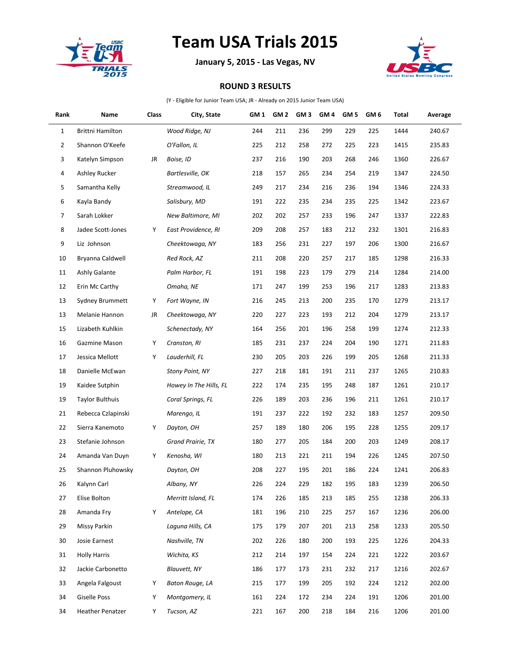

## **Team USA Trials 2015**

**January 5, 2015 - Las Vegas, NV**



## **ROUND 3 RESULTS**

(Y - Eligible for Junior Team USA; JR - Already on 2015 Junior Team USA)

| Rank         | Name                    | Class | City, State            | GM <sub>1</sub> | GM <sub>2</sub> | GM <sub>3</sub> | GM <sub>4</sub> | GM <sub>5</sub> | GM 6 | Total | Average |
|--------------|-------------------------|-------|------------------------|-----------------|-----------------|-----------------|-----------------|-----------------|------|-------|---------|
| $\mathbf{1}$ | Brittni Hamilton        |       | Wood Ridge, NJ         | 244             | 211             | 236             | 299             | 229             | 225  | 1444  | 240.67  |
| 2            | Shannon O'Keefe         |       | O'Fallon, IL           | 225             | 212             | 258             | 272             | 225             | 223  | 1415  | 235.83  |
| 3            | Katelyn Simpson         | JR    | Boise, ID              | 237             | 216             | 190             | 203             | 268             | 246  | 1360  | 226.67  |
| 4            | Ashley Rucker           |       | Bartlesville, OK       | 218             | 157             | 265             | 234             | 254             | 219  | 1347  | 224.50  |
| 5            | Samantha Kelly          |       | Streamwood, IL         | 249             | 217             | 234             | 216             | 236             | 194  | 1346  | 224.33  |
| 6            | Kayla Bandy             |       | Salisbury, MD          | 191             | 222             | 235             | 234             | 235             | 225  | 1342  | 223.67  |
| 7            | Sarah Lokker            |       | New Baltimore, MI      | 202             | 202             | 257             | 233             | 196             | 247  | 1337  | 222.83  |
| 8            | Jadee Scott-Jones       | Υ     | East Providence, RI    | 209             | 208             | 257             | 183             | 212             | 232  | 1301  | 216.83  |
| 9            | Liz Johnson             |       | Cheektowaga, NY        | 183             | 256             | 231             | 227             | 197             | 206  | 1300  | 216.67  |
| 10           | Bryanna Caldwell        |       | Red Rock, AZ           | 211             | 208             | 220             | 257             | 217             | 185  | 1298  | 216.33  |
| 11           | Ashly Galante           |       | Palm Harbor, FL        | 191             | 198             | 223             | 179             | 279             | 214  | 1284  | 214.00  |
| 12           | Erin Mc Carthy          |       | Omaha, NE              | 171             | 247             | 199             | 253             | 196             | 217  | 1283  | 213.83  |
| 13           | Sydney Brummett         | Υ     | Fort Wayne, IN         | 216             | 245             | 213             | 200             | 235             | 170  | 1279  | 213.17  |
| 13           | Melanie Hannon          | JR    | Cheektowaga, NY        | 220             | 227             | 223             | 193             | 212             | 204  | 1279  | 213.17  |
| 15           | Lizabeth Kuhlkin        |       | Schenectady, NY        | 164             | 256             | 201             | 196             | 258             | 199  | 1274  | 212.33  |
| 16           | Gazmine Mason           | Υ     | Cranston, RI           | 185             | 231             | 237             | 224             | 204             | 190  | 1271  | 211.83  |
| 17           | Jessica Mellott         | Υ     | Lauderhill, FL         | 230             | 205             | 203             | 226             | 199             | 205  | 1268  | 211.33  |
| 18           | Danielle McEwan         |       | <b>Stony Point, NY</b> | 227             | 218             | 181             | 191             | 211             | 237  | 1265  | 210.83  |
| 19           | Kaidee Sutphin          |       | Howey In The Hills, FL | 222             | 174             | 235             | 195             | 248             | 187  | 1261  | 210.17  |
| 19           | <b>Taylor Bulthuis</b>  |       | Coral Springs, FL      | 226             | 189             | 203             | 236             | 196             | 211  | 1261  | 210.17  |
| 21           | Rebecca Czlapinski      |       | Marengo, IL            | 191             | 237             | 222             | 192             | 232             | 183  | 1257  | 209.50  |
| 22           | Sierra Kanemoto         | Υ     | Dayton, OH             | 257             | 189             | 180             | 206             | 195             | 228  | 1255  | 209.17  |
| 23           | Stefanie Johnson        |       | Grand Prairie, TX      | 180             | 277             | 205             | 184             | 200             | 203  | 1249  | 208.17  |
| 24           | Amanda Van Duyn         | Υ     | Kenosha, WI            | 180             | 213             | 221             | 211             | 194             | 226  | 1245  | 207.50  |
| 25           | Shannon Pluhowsky       |       | Dayton, OH             | 208             | 227             | 195             | 201             | 186             | 224  | 1241  | 206.83  |
| 26           | Kalynn Carl             |       | Albany, NY             | 226             | 224             | 229             | 182             | 195             | 183  | 1239  | 206.50  |
| 27           | Elise Bolton            |       | Merritt Island, FL     | 174             | 226             | 185             | 213             | 185             | 255  | 1238  | 206.33  |
| 28           | Amanda Fry              | Υ     | Antelope, CA           | 181             | 196             | 210             | 225             | 257             | 167  | 1236  | 206.00  |
| 29           | Missy Parkin            |       | Laguna Hills, CA       | 175             | 179             | 207             | 201             | 213             | 258  | 1233  | 205.50  |
| 30           | Josie Earnest           |       | Nashville, TN          | 202             | 226             | 180             | 200             | 193             | 225  | 1226  | 204.33  |
| 31           | <b>Holly Harris</b>     |       | Wichita, KS            | 212             | 214             | 197             | 154             | 224             | 221  | 1222  | 203.67  |
| 32           | Jackie Carbonetto       |       | Blauvett, NY           | 186             | 177             | 173             | 231             | 232             | 217  | 1216  | 202.67  |
| 33           | Angela Falgoust         | Υ     | Baton Rouge, LA        | 215             | 177             | 199             | 205             | 192             | 224  | 1212  | 202.00  |
| 34           | <b>Giselle Poss</b>     | Υ     | Montgomery, IL         | 161             | 224             | 172             | 234             | 224             | 191  | 1206  | 201.00  |
| 34           | <b>Heather Penatzer</b> | Υ     | Tucson, AZ             | 221             | 167             | 200             | 218             | 184             | 216  | 1206  | 201.00  |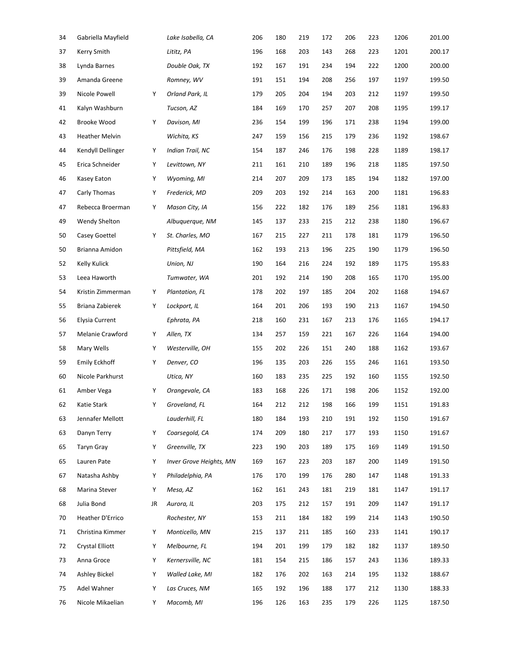| Gabriella Mayfield     |    | Lake Isabella, CA       | 206 | 180 | 219 | 172 | 206 | 223 | 1206 | 201.00 |
|------------------------|----|-------------------------|-----|-----|-----|-----|-----|-----|------|--------|
| Kerry Smith            |    | Lititz, PA              | 196 | 168 | 203 | 143 | 268 | 223 | 1201 | 200.17 |
| Lynda Barnes           |    | Double Oak, TX          | 192 | 167 | 191 | 234 | 194 | 222 | 1200 | 200.00 |
| Amanda Greene          |    | Romney, WV              | 191 | 151 | 194 | 208 | 256 | 197 | 1197 | 199.50 |
| Nicole Powell          | Υ  | Orland Park, IL         | 179 | 205 | 204 | 194 | 203 | 212 | 1197 | 199.50 |
| Kalyn Washburn         |    | Tucson, AZ              | 184 | 169 | 170 | 257 | 207 | 208 | 1195 | 199.17 |
| Brooke Wood            | Y  | Davison, MI             | 236 | 154 | 199 | 196 | 171 | 238 | 1194 | 199.00 |
| <b>Heather Melvin</b>  |    | Wichita, KS             | 247 | 159 | 156 | 215 | 179 | 236 | 1192 | 198.67 |
| Kendyll Dellinger      | Υ  | Indian Trail, NC        | 154 | 187 | 246 | 176 | 198 | 228 | 1189 | 198.17 |
| Erica Schneider        | Υ  | Levittown, NY           | 211 | 161 | 210 | 189 | 196 | 218 | 1185 | 197.50 |
| Kasey Eaton            | Υ  | Wyoming, MI             | 214 | 207 | 209 | 173 | 185 | 194 | 1182 | 197.00 |
| Carly Thomas           | Υ  | Frederick, MD           | 209 | 203 | 192 | 214 | 163 | 200 | 1181 | 196.83 |
| Rebecca Broerman       | Υ  | Mason City, IA          | 156 | 222 | 182 | 176 | 189 | 256 | 1181 | 196.83 |
| Wendy Shelton          |    | Albuquerque, NM         | 145 | 137 | 233 | 215 | 212 | 238 | 1180 | 196.67 |
| Casey Goettel          | Υ  | St. Charles, MO         | 167 | 215 | 227 | 211 | 178 | 181 | 1179 | 196.50 |
| Brianna Amidon         |    | Pittsfield, MA          | 162 | 193 | 213 | 196 | 225 | 190 | 1179 | 196.50 |
| Kelly Kulick           |    | Union, NJ               | 190 | 164 | 216 | 224 | 192 | 189 | 1175 | 195.83 |
| Leea Haworth           |    | Tumwater, WA            | 201 | 192 | 214 | 190 | 208 | 165 | 1170 | 195.00 |
| Kristin Zimmerman      | Υ  | Plantation, FL          | 178 | 202 | 197 | 185 | 204 | 202 | 1168 | 194.67 |
| Briana Zabierek        | Υ  | Lockport, IL            | 164 | 201 | 206 | 193 | 190 | 213 | 1167 | 194.50 |
| <b>Elysia Current</b>  |    | Ephrata, PA             | 218 | 160 | 231 | 167 | 213 | 176 | 1165 | 194.17 |
| Melanie Crawford       | Υ  | Allen, TX               | 134 | 257 | 159 | 221 | 167 | 226 | 1164 | 194.00 |
| Mary Wells             | Υ  | Westerville, OH         | 155 | 202 | 226 | 151 | 240 | 188 | 1162 | 193.67 |
| Emily Eckhoff          | Υ  | Denver, CO              | 196 | 135 | 203 | 226 | 155 | 246 | 1161 | 193.50 |
| Nicole Parkhurst       |    | Utica, NY               | 160 | 183 | 235 | 225 | 192 | 160 | 1155 | 192.50 |
| Amber Vega             | Υ  | Orangevale, CA          | 183 | 168 | 226 | 171 | 198 | 206 | 1152 | 192.00 |
| Katie Stark            | Υ  | Groveland, FL           | 164 | 212 | 212 | 198 | 166 | 199 | 1151 | 191.83 |
| Jennafer Mellott       |    | Lauderhill, FL          | 180 | 184 | 193 | 210 | 191 | 192 | 1150 | 191.67 |
| Danyn Terry            | Υ  | Coarsegold, CA          | 174 | 209 | 180 | 217 | 177 | 193 | 1150 | 191.67 |
| <b>Taryn Gray</b>      | Υ  | Greenville, TX          | 223 | 190 | 203 | 189 | 175 | 169 | 1149 | 191.50 |
| Lauren Pate            | Υ  | Inver Grove Heights, MN | 169 | 167 | 223 | 203 | 187 | 200 | 1149 | 191.50 |
| Natasha Ashby          | Υ  | Philadelphia, PA        | 176 | 170 | 199 | 176 | 280 | 147 | 1148 | 191.33 |
| Marina Stever          | Υ  | Mesa, AZ                | 162 | 161 | 243 | 181 | 219 | 181 | 1147 | 191.17 |
| Julia Bond             | JR | Aurora, IL              | 203 | 175 | 212 | 157 | 191 | 209 | 1147 | 191.17 |
| Heather D'Errico       |    | Rochester, NY           | 153 | 211 | 184 | 182 | 199 | 214 | 1143 | 190.50 |
| Christina Kimmer       | Υ  | Monticello, MN          | 215 | 137 | 211 | 185 | 160 | 233 | 1141 | 190.17 |
| <b>Crystal Elliott</b> | Υ  | Melbourne, FL           | 194 | 201 | 199 | 179 | 182 | 182 | 1137 | 189.50 |
| Anna Groce             | Υ  | Kernersville, NC        | 181 | 154 | 215 | 186 | 157 | 243 | 1136 | 189.33 |
| Ashley Bickel          | Υ  | Walled Lake, MI         | 182 | 176 | 202 | 163 | 214 | 195 | 1132 | 188.67 |
| Adel Wahner            | Υ  | Las Cruces, NM          | 165 | 192 | 196 | 188 | 177 | 212 | 1130 | 188.33 |
| Nicole Mikaelian       | Υ  | Macomb, MI              | 196 | 126 | 163 | 235 | 179 | 226 | 1125 | 187.50 |
|                        |    |                         |     |     |     |     |     |     |      |        |